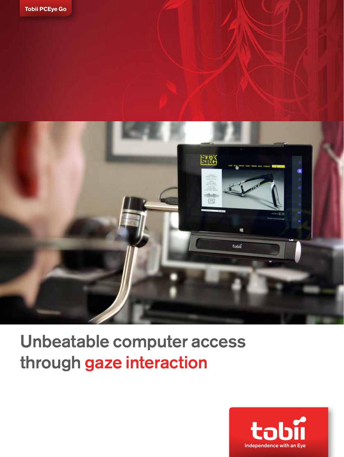



# Unbeatable computer access through gaze interaction

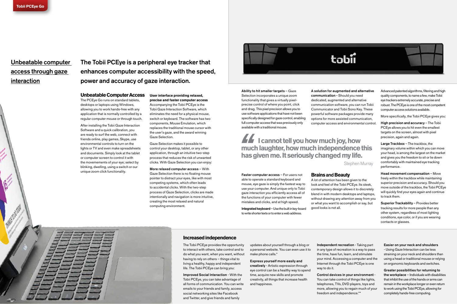### **Increased independence**

The Tobii PCEye provides the opportunity to interact with others, take control and to do what you want, when you want, without having to rely on others – things vital to living a healthy, happy and independent life. The Tobii PCEye can bring you:

Improved Social Interaction - With the Tobii PCEye, you can take advantage of all forms of communication. You can write emails to your friends and family, access social networking sites like Facebook and Twitter, and give friends and family

updates about yourself through a blog or a personal website. You can even use it to make phone calls.\*

Express yourself more easily and creatively - Artistic expression through eye control can be a healthy way to spend time, acquire new skills and promote creativity, all things that increase health and happiness.

Independent recreation - Taking part

in any type of recreation is a way to pass the time, have fun, learn, and stimulate your mind. Accessing a computer and the Internet through the Tobii PCEye is one

way to do it.

Control devices in your environment - You can take control of things like lights, telephones, TVs, DVD players, toys and more, allowing you to regain much of your freedom and independence.\*\*



### Easier on your neck and shoulders

- Using Gaze Interaction can be less straining on your neck and shoulders than using a head or traditional mouse or relying on ergonomic keyboards and switches.

Greater possibilities for returning to the workplace – Individuals with disabilities that inhibit the use of the hands or arms can remain in the workplace longer or even return to work using the Tobii PCEye, allowing for completely hands-free computing.

### **Unbeatable Computer Access**

The PCEye Go runs on standard tablets, desktops or laptops using Windows, allowing you to work hands-free with any application that is normally controlled by a regular computer mouse or through touch.

After installing the Tobii Gaze Interaction Software and a quick calibration, you are ready to surf the web, connect with friends online, play games, Skype, use environmental controls to turn on the lights or TV and even make spreadsheets and documents. Simply look at the tablet or computer screen to control it with the movemements of your eye; select by blinking, dwelling, using a switch or our unique zoom click functionality.

**User interface providing relaxed, precise and faster computer access** Accompanying the Tobii PCEye is the Tobii Gaze Interaction Software, which eliminates the need for a physical mouse, switch or keyboard. The software has two components, Mouse Emulation, which replaces the traditional mouse cursor with the user's gaze, and the award winning Gaze Selection.

High precision and accuracy - The Tobii PCEye allows you to hit even the smallest targets on the screen, almost with pixel precision, again and again.

Gaze Selection makes it possible to control your desktop, tablet, or any other application, through an intuitive two-step process that reduces the risk of unwanted clicks. With Gaze Selection you can enjoy:

**If** i cannot tell you how much joy, how **much laughter, how much independence this has given me. It seriously changed my life.**

More relaxed computer access – With Gaze Selection there is no floating mouse pointer to distract your eyes, like with most competing systems, which often leads to accidental clicks. With the two-step process of Gaze Selection, clicks are made intentionally and navigation is more intuitive, creating the most relaxed and natural computing environment.



## Unbeatable computer access through gaze interaction

The Tobii PCEye is a peripheral eye tracker that enhances computer accessibility with the speed, power and accuracy of gaze interaction.

Ability to hit smaller targets – Gaze Selection incorporates a unique zoom functionality that gives a virtually pixelprecise control of where you point, click and drag. This pixel precision allows you to use software applications that have not been specifically designed for gaze control, enabling full computer access that was previously only available with a traditional mouse.

Faster computer access – For users not able to operate a standard keyboard and mouse, eye gaze is simply the fastest way to use your computer. And unique only to Tobii gaze interaction you efficiently access all of the functions of your computer with fewer mistakes and clicks, and at high speed.

Integrated keyboard – Use the built in key-board to write shorter texts or to enter a web address.

A solution for augmented and alternative communication - Should you need dedicated, augmented and alternative communication software, you can run Tobii Communicator and Tobii Sono Key. These powerful software packages provide many options for more assisted communication, computer access and environmental control.

### **Brains** and **Beauty**

A lot of attention has been given to the look and feel of the Tobii PCEye. Its sleek, contemporary design allows it to discretely blend in with modern desktops and laptops, without drawing any attention away from you or what you want to accomplish or say, but

good looks is not all.

Advanced patented algorithms, filtering and high quality components, to name a few, make Tobii eye trackers extremely accurate, precise and robust. The PCEye is one of the most competent computer access solutions available.

More specifically, the Tobii PCEye gives you:

Large Trackbox – The trackbox, the imaginary volume within which you can move your head, is among the largest on the market and gives you the freedom to sit or lie down comfortably with maintained eye tracking performance.

Head movement compensation – Move freely within the trackbox while maintaining superior precision and accuracy. Should you move outside of the trackbox, the Tobii PCEye will quickly find your eyes again and continue to track them.

Superior Trackability – Provides better tracking results for more people than any other system, regardless of most lighting conditions, eye color, or if you are wearing contacts or glasses.

Stephen Murray